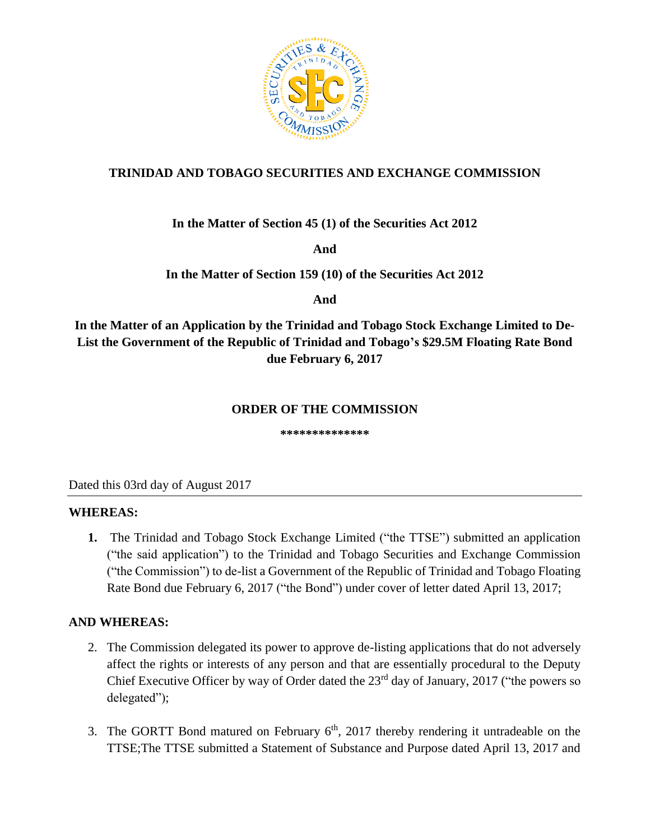

## **TRINIDAD AND TOBAGO SECURITIES AND EXCHANGE COMMISSION**

**In the Matter of Section 45 (1) of the Securities Act 2012**

**And** 

**In the Matter of Section 159 (10) of the Securities Act 2012** 

**And**

**In the Matter of an Application by the Trinidad and Tobago Stock Exchange Limited to De-List the Government of the Republic of Trinidad and Tobago's \$29.5M Floating Rate Bond due February 6, 2017**

### **ORDER OF THE COMMISSION**

**\*\*\*\*\*\*\*\*\*\*\*\*\*\***

Dated this 03rd day of August 2017

### **WHEREAS:**

**1.** The Trinidad and Tobago Stock Exchange Limited ("the TTSE") submitted an application ("the said application") to the Trinidad and Tobago Securities and Exchange Commission ("the Commission") to de-list a Government of the Republic of Trinidad and Tobago Floating Rate Bond due February 6, 2017 ("the Bond") under cover of letter dated April 13, 2017;

## **AND WHEREAS:**

- 2. The Commission delegated its power to approve de-listing applications that do not adversely affect the rights or interests of any person and that are essentially procedural to the Deputy Chief Executive Officer by way of Order dated the 23<sup>rd</sup> day of January, 2017 ("the powers so delegated");
- 3. The GORTT Bond matured on February  $6<sup>th</sup>$ , 2017 thereby rendering it untradeable on the TTSE;The TTSE submitted a Statement of Substance and Purpose dated April 13, 2017 and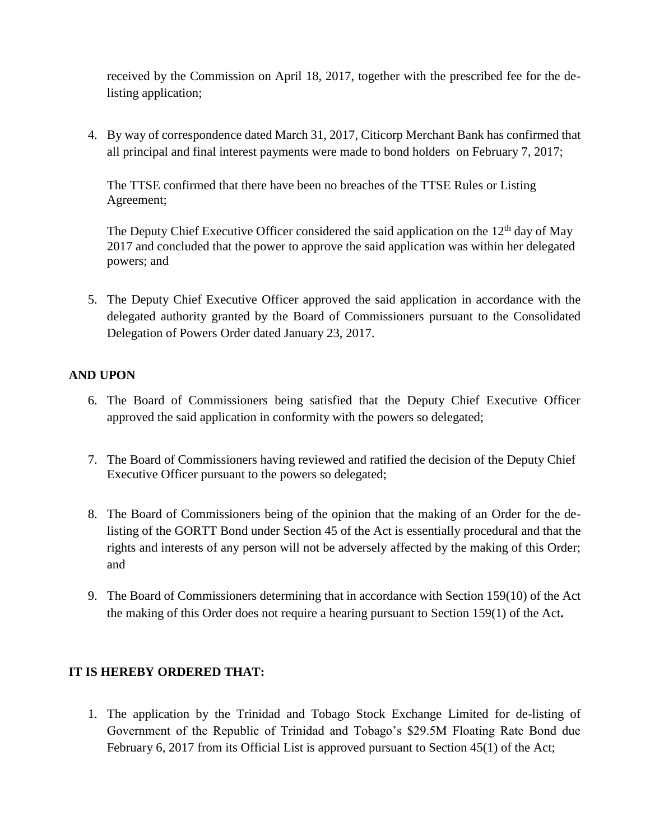received by the Commission on April 18, 2017, together with the prescribed fee for the delisting application;

4. By way of correspondence dated March 31, 2017, Citicorp Merchant Bank has confirmed that all principal and final interest payments were made to bond holders on February 7, 2017;

The TTSE confirmed that there have been no breaches of the TTSE Rules or Listing Agreement;

The Deputy Chief Executive Officer considered the said application on the  $12<sup>th</sup>$  day of May 2017 and concluded that the power to approve the said application was within her delegated powers; and

5. The Deputy Chief Executive Officer approved the said application in accordance with the delegated authority granted by the Board of Commissioners pursuant to the Consolidated Delegation of Powers Order dated January 23, 2017.

### **AND UPON**

- 6. The Board of Commissioners being satisfied that the Deputy Chief Executive Officer approved the said application in conformity with the powers so delegated;
- 7. The Board of Commissioners having reviewed and ratified the decision of the Deputy Chief Executive Officer pursuant to the powers so delegated;
- 8. The Board of Commissioners being of the opinion that the making of an Order for the delisting of the GORTT Bond under Section 45 of the Act is essentially procedural and that the rights and interests of any person will not be adversely affected by the making of this Order; and
- 9. The Board of Commissioners determining that in accordance with Section 159(10) of the Act the making of this Order does not require a hearing pursuant to Section 159(1) of the Act**.**

### **IT IS HEREBY ORDERED THAT:**

1. The application by the Trinidad and Tobago Stock Exchange Limited for de-listing of Government of the Republic of Trinidad and Tobago's \$29.5M Floating Rate Bond due February 6, 2017 from its Official List is approved pursuant to Section 45(1) of the Act;